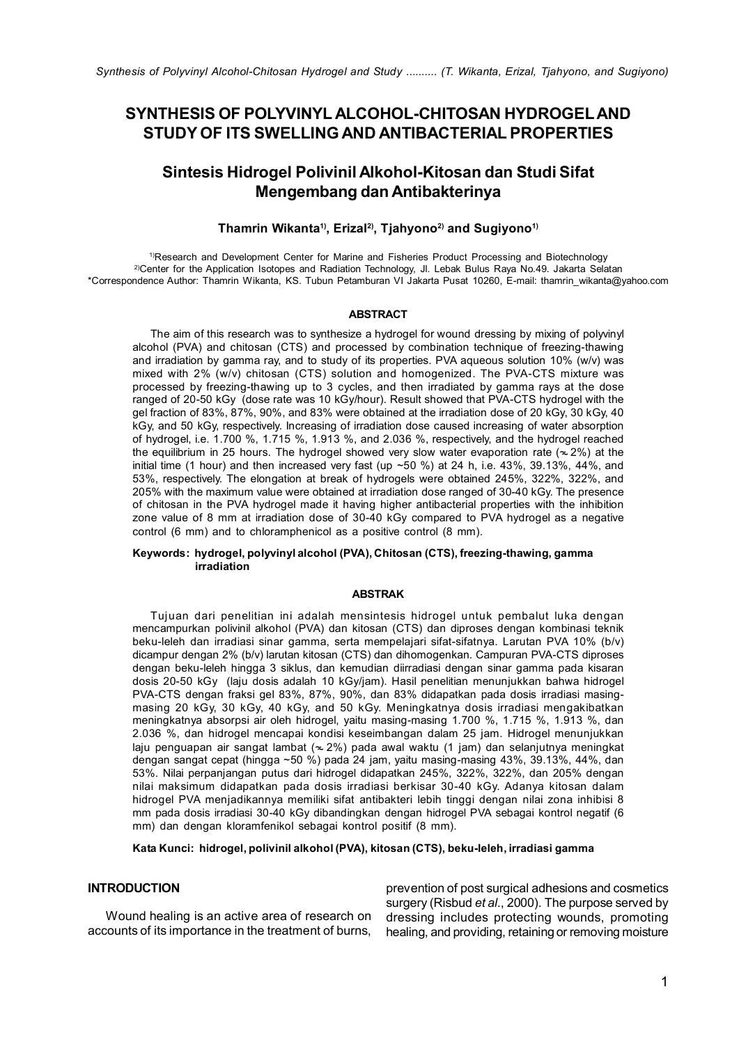# SYNTHESIS OF POLYVINYL ALCOHOL-CHITOSAN HYDROGEL AND STUDY OF ITS SWELLING AND ANTIBACTERIAL PROPERTIES

# Sintesis Hidrogel Polivinil Alkohol-Kitosan dan Studi Sifat Mengembang dan Antibakterinya

### Thamrin Wikanta<sup>1)</sup>, Erizal<sup>2)</sup>, Tiahyono<sup>2)</sup> and Sugiyono<sup>1)</sup>

<sup>1)</sup>Research and Development Center for Marine and Fisheries Product Processing and Biotechnology 2)Center for the Application Isotopes and Radiation Technology, Jl. Lebak Bulus Raya No.49. Jakarta Selatan \*Correspondence Author: Thamrin Wikanta, KS. Tubun Petamburan VI Jakarta Pusat 10260, E-mail: thamrin\_wikanta@yahoo.com

#### ABSTRACT

the equilibrium in 25 hours. The hydrogel showed very slow water evaporation rate ( $\approx$  2%) at the The aim of this research was to synthesize a hydrogel for wound dressing by mixing of polyvinyl alcohol (PVA) and chitosan (CTS) and processed by combination technique of freezing-thawing and irradiation by gamma ray, and to study of its properties. PVA aqueous solution 10% (w/v) was mixed with 2% (w/v) chitosan (CTS) solution and homogenized. The PVA-CTS mixture was processed by freezing-thawing up to 3 cycles, and then irradiated by gamma rays at the dose ranged of 20-50 kGy (dose rate was 10 kGy/hour). Result showed that PVA-CTS hydrogel with the gel fraction of 83%, 87%, 90%, and 83% were obtained at the irradiation dose of 20 kGy, 30 kGy, 40 kGy, and 50 kGy, respectively. Increasing of irradiation dose caused increasing of water absorption of hydrogel, i.e. 1.700 %, 1.715 %, 1.913 %, and 2.036 %, respectively, and the hydrogel reached initial time (1 hour) and then increased very fast (up  $~50$  %) at 24 h, i.e. 43%, 39.13%, 44%, and 53%, respectively. The elongation at break of hydrogels were obtained 245%, 322%, 322%, and 205% with the maximum value were obtained at irradiation dose ranged of 30-40 kGy. The presence of chitosan in the PVA hydrogel made it having higher antibacterial properties with the inhibition zone value of 8 mm at irradiation dose of 30-40 kGy compared to PVA hydrogel as a negative control (6 mm) and to chloramphenicol as a positive control (8 mm).

#### Keywords: hydrogel, polyvinyl alcohol (PVA), Chitosan (CTS), freezing-thawing, gamma irradiation

### **ARSTRAK**

Tujuan dari penelitian ini adalah mensintesis hidrogel untuk pembalut luka dengan mencampurkan polivinil alkohol (PVA) dan kitosan (CTS) dan diproses dengan kombinasi teknik beku-leleh dan irradiasi sinar gamma, serta mempelajari sifat-sifatnya. Larutan PVA 10% (b/v) dicampur dengan 2% (b/v) larutan kitosan (CTS) dan dihomogenkan. Campuran PVA-CTS diproses dengan beku-leleh hingga 3 siklus, dan kemudian diirradiasi dengan sinar gamma pada kisaran dosis 20-50 kGy (laju dosis adalah 10 kGy/jam). Hasil penelitian menunjukkan bahwa hidrogel PVA-CTS dengan fraksi gel 83%, 87%, 90%, dan 83% didapatkan pada dosis irradiasi masingmasing 20 kGy, 30 kGy, 40 kGy, and 50 kGy. Meningkatnya dosis irradiasi mengakibatkan meningkatnya absorpsi air oleh hidrogel, yaitu masing-masing 1.700 %, 1.715 %, 1.913 %, dan 2.036 %, dan hidrogel mencapai kondisi keseimbangan dalam 25 jam. Hidrogel menunjukkan laju penguapan air sangat lambat ( $\approx$  2%) pada awal waktu (1 jam) dan selanjutnya meningkat dengan sangat cepat (hingga ~50 %) pada 24 jam, yaitu masing-masing 43%, 39.13%, 44%, dan 53%. Nilai perpanjangan putus dari hidrogel didapatkan 245%, 322%, 322%, dan 205% dengan nilai maksimum didapatkan pada dosis irradiasi berkisar 30-40 kGy. Adanya kitosan dalam hidrogel PVA menjadikannya memiliki sifat antibakteri lebih tinggi dengan nilai zona inhibisi 8 mm pada dosis irradiasi 30-40 kGy dibandingkan dengan hidrogel PVA sebagai kontrol negatif (6 mm) dan dengan kloramfenikol sebagai kontrol positif (8 mm).

Kata Kunci: hidrogel, polivinil alkohol (PVA), kitosan (CTS), beku-leleh, irradiasi gamma

### **INTRODUCTION**

Wound healing is an active area of research on accounts of its importance in the treatment of burns,

prevention of post surgical adhesions and cosmetics surgery (Risbud *et al*., 2000). The purpose served by dressing includes protecting wounds, promoting healing, and providing, retaining or removing moisture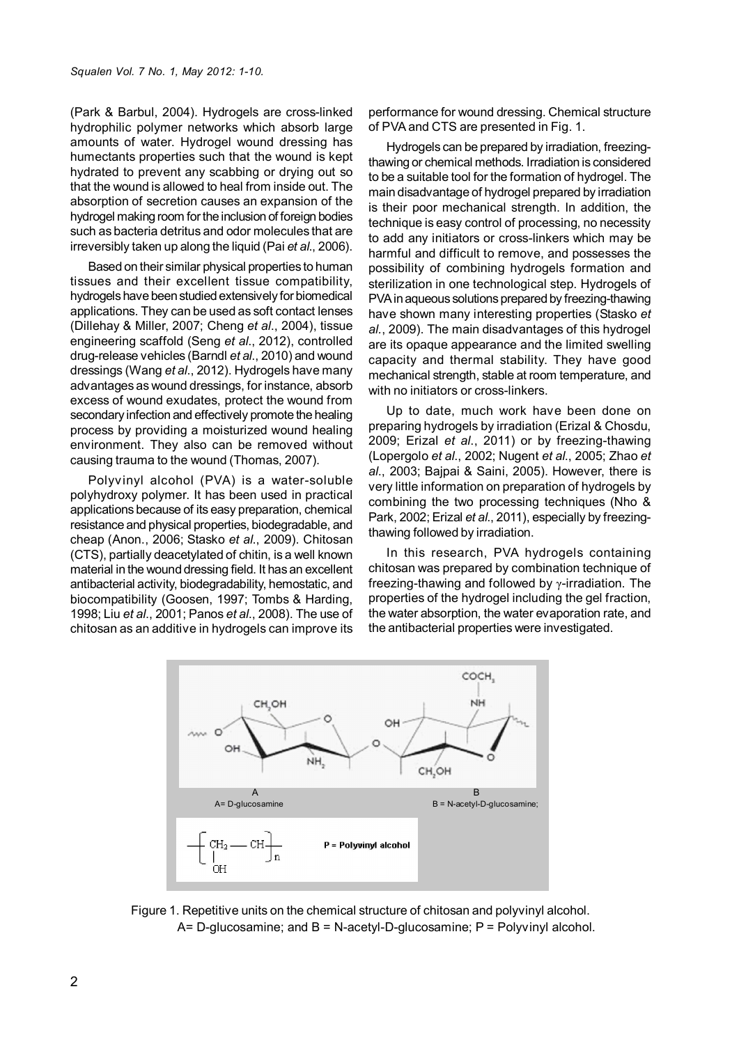(Park & Barbul, 2004). Hydrogels are cross-linked hydrophilic polymer networks which absorb large amounts of water. Hydrogel wound dressing has humectants properties such that the wound is kept hydrated to prevent any scabbing or drying out so that the wound is allowed to heal from inside out. The absorption of secretion causes an expansion of the hydrogel making room for the inclusion of foreign bodies such as bacteria detritus and odor molecules that are irreversibly taken up along the liquid (Pai *et al*., 2006).

Based on their similar physical properties to human tissues and their excellent tissue compatibility, hydrogels have been studied extensively for biomedical applications. They can be used as soft contact lenses (Dillehay & Miller, 2007; Cheng *et al*., 2004), tissue engineering scaffold (Seng *et al*., 2012), controlled drug-release vehicles (Barndl *et al*., 2010) and wound dressings (Wang *et al*., 2012). Hydrogels have many advantages as wound dressings, for instance, absorb excess of wound exudates, protect the wound from secondary infection and effectively promote the healing process by providing a moisturized wound healing environment. They also can be removed without causing trauma to the wound (Thomas, 2007).

Polyvinyl alcohol (PVA) is a water-soluble polyhydroxy polymer. It has been used in practical applications because of its easy preparation, chemical resistance and physical properties, biodegradable, and cheap (Anon., 2006; Stasko *et al*., 2009). Chitosan (CTS), partially deacetylated of chitin, is a well known material in the wound dressing field. It has an excellent antibacterial activity, biodegradability, hemostatic, and biocompatibility (Goosen, 1997; Tombs & Harding, 1998; Liu *et al*., 2001; Panos *et al*., 2008). The use of chitosan as an additive in hydrogels can improve its performance for wound dressing. Chemical structure of PVA and CTS are presented in Fig. 1.

Hydrogels can be prepared by irradiation, freezingthawing or chemical methods. Irradiation is considered to be a suitable tool for the formation of hydrogel. The main disadvantage of hydrogel prepared by irradiation is their poor mechanical strength. In addition, the technique is easy control of processing, no necessity to add any initiators or cross-linkers which may be harmful and difficult to remove, and possesses the possibility of combining hydrogels formation and sterilization in one technological step. Hydrogels of PVA in aqueous solutions prepared by freezing-thawing have shown many interesting properties (Stasko *et al.*, 2009). The main disadvantages of this hydrogel are its opaque appearance and the limited swelling capacity and thermal stability. They have good mechanical strength, stable at room temperature, and with no initiators or cross-linkers.

Up to date, much work have been done on preparing hydrogels by irradiation (Erizal & Chosdu, 2009; Erizal *et al*., 2011) or by freezing-thawing (Lopergolo *et al*., 2002; Nugent *et al*., 2005; Zhao *et al*., 2003; Bajpai & Saini, 2005). However, there is very little information on preparation of hydrogels by combining the two processing techniques (Nho & Park, 2002; Erizal *et al*., 2011), especially by freezingthawing followed by irradiation.

In this research, PVA hydrogels containing chitosan was prepared by combination technique of freezing-thawing and followed by γ-irradiation. The properties of the hydrogel including the gel fraction, the water absorption, the water evaporation rate, and the antibacterial properties were investigated.



Figure 1. Repetitive units on the chemical structure of chitosan and polyvinyl alcohol.  $A= D-glucosamine$ ; and  $B = N-acetyl-D-glucosamine$ ;  $P = Polyvinyl alcohol$ .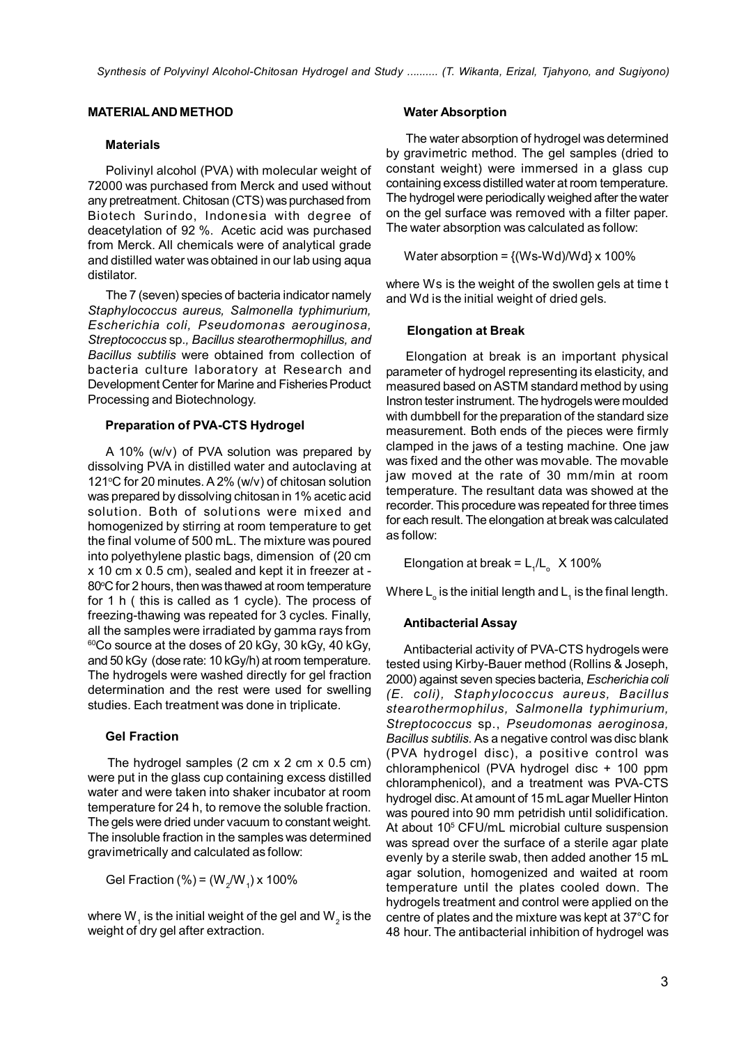# MATERIAL AND METHOD

# **Materials**

Polivinyl alcohol (PVA) with molecular weight of 72000 was purchased from Merck and used without any pretreatment. Chitosan (CTS) was purchased from Biotech Surindo, Indonesia with degree of deacetylation of 92 %. Acetic acid was purchased from Merck. All chemicals were of analytical grade and distilled water was obtained in our lab using aqua distilator.

The 7 (seven) species of bacteria indicator namely *Staphylococcus aureus, Salmonella typhimurium, Escherichia coli, Pseudomonas aerouginosa, Streptococcus* sp.*, Bacillus stearothermophillus, and Bacillus subtilis* were obtained from collection of bacteria culture laboratory at Research and Development Center for Marine and Fisheries Product Processing and Biotechnology.

# Preparation of PVA-CTS Hydrogel

A 10% (w/v) of PVA solution was prepared by dissolving PVA in distilled water and autoclaving at 121 $\degree$ C for 20 minutes. A 2% (w/v) of chitosan solution was prepared by dissolving chitosan in 1% acetic acid solution. Both of solutions were mixed and homogenized by stirring at room temperature to get the final volume of 500 mL. The mixture was poured into polyethylene plastic bags, dimension of (20 cm x 10 cm x 0.5 cm), sealed and kept it in freezer at - 80°C for 2 hours, then was thawed at room temperature for 1 h ( this is called as 1 cycle). The process of freezing-thawing was repeated for 3 cycles. Finally, all the samples were irradiated by gamma rays from  $60^{\circ}$ Co source at the doses of 20 kGy, 30 kGy, 40 kGy, and 50 kGy (dose rate: 10 kGy/h) at room temperature. The hydrogels were washed directly for gel fraction determination and the rest were used for swelling studies. Each treatment was done in triplicate.

# Gel Fraction

The hydrogel samples (2 cm x 2 cm x 0.5 cm) were put in the glass cup containing excess distilled water and were taken into shaker incubator at room temperature for 24 h, to remove the soluble fraction. The gels were dried under vacuum to constant weight. The insoluble fraction in the samples was determined gravimetrically and calculated as follow:

Gel Fraction (%) = (W<sub>2</sub>/W<sub>1</sub>) x 100%

where W $_{\textrm{\tiny{\overline{1}}}}$  is the initial weight of the gel and W $_{\textrm{\tiny{\overline{2}}}}$  is the weight of dry gel after extraction.

### Water Absorption

The water absorption of hydrogel was determined by gravimetric method. The gel samples (dried to constant weight) were immersed in a glass cup containing excess distilled water at room temperature. The hydrogel were periodically weighed after the water on the gel surface was removed with a filter paper. The water absorption was calculated as follow:

Water absorption =  ${(Ws-Wd)/Wd} \times 100\%$ 

where Ws is the weight of the swollen gels at time t and Wd is the initial weight of dried gels.

# Elongation at Break

Elongation at break is an important physical parameter of hydrogel representing its elasticity, and measured based on ASTM standard method by using Instron tester instrument. The hydrogels were moulded with dumbbell for the preparation of the standard size measurement. Both ends of the pieces were firmly clamped in the jaws of a testing machine. One jaw was fixed and the other was movable. The movable jaw moved at the rate of 30 mm/min at room temperature. The resultant data was showed at the recorder. This procedure was repeated for three times for each result. The elongation at break was calculated as follow:

Elongation at break =  $L_1/L_0 \times 100\%$ 

Where  $\mathsf{L}_{_{\mathrm{o}}}$  is the initial length and  $\mathsf{L}_{_{1}}$  is the final length.

# Antibacterial Assay

Antibacterial activity of PVA-CTS hydrogels were tested using Kirby-Bauer method (Rollins & Joseph, 2000) against seven species bacteria, *Escherichia coli (E. coli), Staphylococcus aureus, Bacillus stearothermophilus, Salmonella typhimurium, Streptococcus* sp., *Pseudomonas aeroginosa, Bacillus subtilis.* As a negative control was disc blank (PVA hydrogel disc), a positive control was chloramphenicol (PVA hydrogel disc + 100 ppm chloramphenicol), and a treatment was PVA-CTS hydrogel disc. At amount of 15 mL agar Mueller Hinton was poured into 90 mm petridish until solidification. At about 10<sup>5</sup> CFU/mL microbial culture suspension was spread over the surface of a sterile agar plate evenly by a sterile swab, then added another 15 mL agar solution, homogenized and waited at room temperature until the plates cooled down. The hydrogels treatment and control were applied on the centre of plates and the mixture was kept at 37°C for 48 hour. The antibacterial inhibition of hydrogel was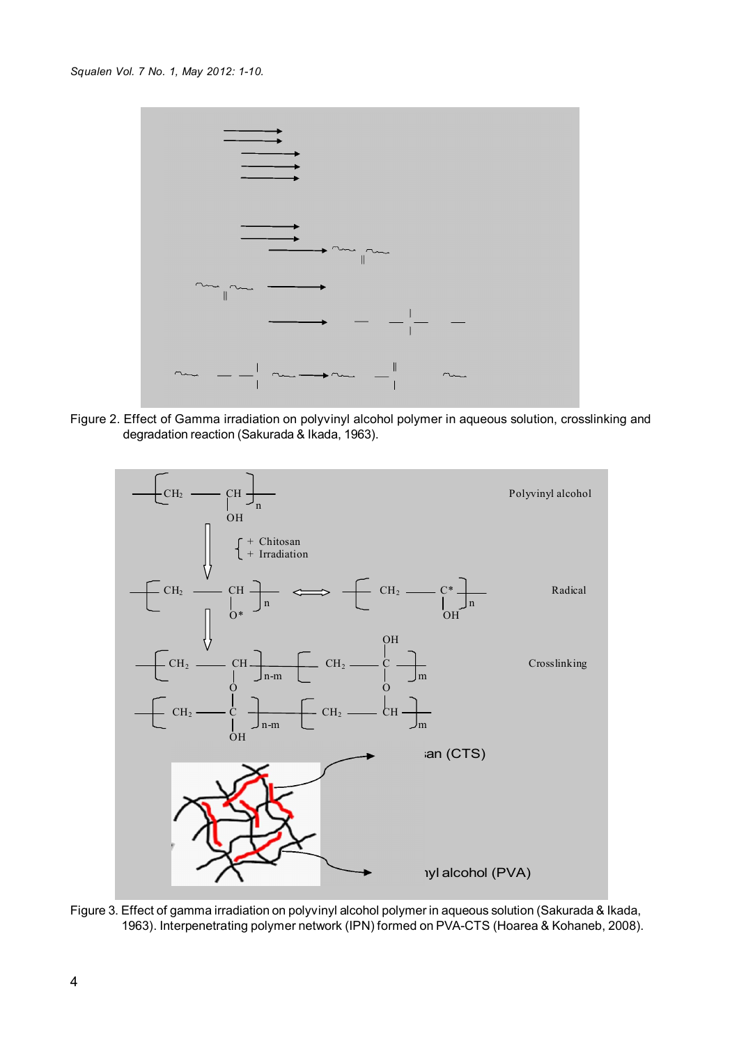

Figure 2. Effect of Gamma irradiation on polyvinyl alcohol polymer in aqueous solution, crosslinking and degradation reaction (Sakurada & Ikada, 1963).



Figure 3. Effect of gamma irradiation on polyvinyl alcohol polymer in aqueous solution (Sakurada & Ikada, 1963). Interpenetrating polymer network (IPN) formed on PVA-CTS (Hoarea & Kohaneb, 2008).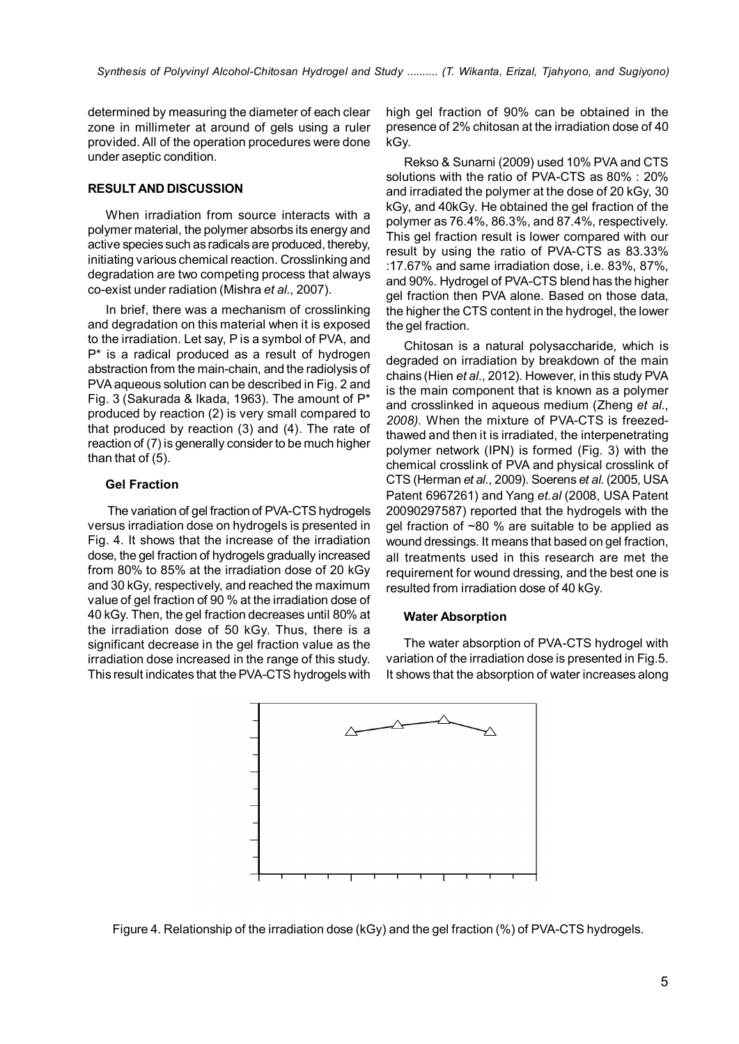determined by measuring the diameter of each clear zone in millimeter at around of gels using a ruler provided. All of the operation procedures were done under aseptic condition.

# RESULT AND DISCUSSION

When irradiation from source interacts with a polymer material, the polymer absorbs its energy and active species such as radicals are produced, thereby, initiating various chemical reaction. Crosslinking and degradation are two competing process that always co-exist under radiation (Mishra *et al*., 2007).

In brief, there was a mechanism of crosslinking and degradation on this material when it is exposed to the irradiation. Let say, P is a symbol of PVA, and P\* is a radical produced as a result of hydrogen abstraction from the main-chain, and the radiolysis of PVA aqueous solution can be described in Fig. 2 and Fig. 3 (Sakurada & Ikada, 1963). The amount of P\* produced by reaction (2) is very small compared to that produced by reaction (3) and (4). The rate of reaction of (7) is generally consider to be much higher than that of (5).

# Gel Fraction

The variation of gel fraction of PVA-CTS hydrogels versus irradiation dose on hydrogels is presented in Fig. 4. It shows that the increase of the irradiation dose, the gel fraction of hydrogels gradually increased from 80% to 85% at the irradiation dose of 20 kGy and 30 kGy, respectively, and reached the maximum value of gel fraction of 90 % at the irradiation dose of 40 kGy. Then, the gel fraction decreases until 80% at the irradiation dose of 50 kGy. Thus, there is a significant decrease in the gel fraction value as the irradiation dose increased in the range of this study. This result indicates that the PVA-CTS hydrogels with

high gel fraction of 90% can be obtained in the presence of 2% chitosan at the irradiation dose of 40 kGy.

Rekso & Sunarni (2009) used 10% PVA and CTS solutions with the ratio of PVA-CTS as 80% : 20% and irradiated the polymer at the dose of 20 kGy, 30 kGy, and 40kGy. He obtained the gel fraction of the polymer as 76.4%, 86.3%, and 87.4%, respectively. This gel fraction result is lower compared with our result by using the ratio of PVA-CTS as 83.33% :17.67% and same irradiation dose, i.e. 83%, 87%, and 90%. Hydrogel of PVA-CTS blend has the higher gel fraction then PVA alone. Based on those data, the higher the CTS content in the hydrogel, the lower the gel fraction.

Chitosan is a natural polysaccharide, which is degraded on irradiation by breakdown of the main chains (Hien *et al*., 2012). However, in this study PVA is the main component that is known as a polymer and crosslinked in aqueous medium (Zheng *et al*., *2008)*. When the mixture of PVA-CTS is freezedthawed and then it is irradiated, the interpenetrating polymer network (IPN) is formed (Fig. 3) with the chemical crosslink of PVA and physical crosslink of CTS (Herman *et al.*, 2009). Soerens *et al*. (2005, USA Patent 6967261) and Yang *et.al* (2008, USA Patent 20090297587) reported that the hydrogels with the gel fraction of ~80 % are suitable to be applied as wound dressings. It means that based on gel fraction, all treatments used in this research are met the requirement for wound dressing, and the best one is resulted from irradiation dose of 40 kGy.

#### Water Absorption

The water absorption of PVA-CTS hydrogel with variation of the irradiation dose is presented in Fig.5. It shows that the absorption of water increases along



Figure 4. Relationship of the irradiation dose (kGy) and the gel fraction (%) of PVA-CTS hydrogels.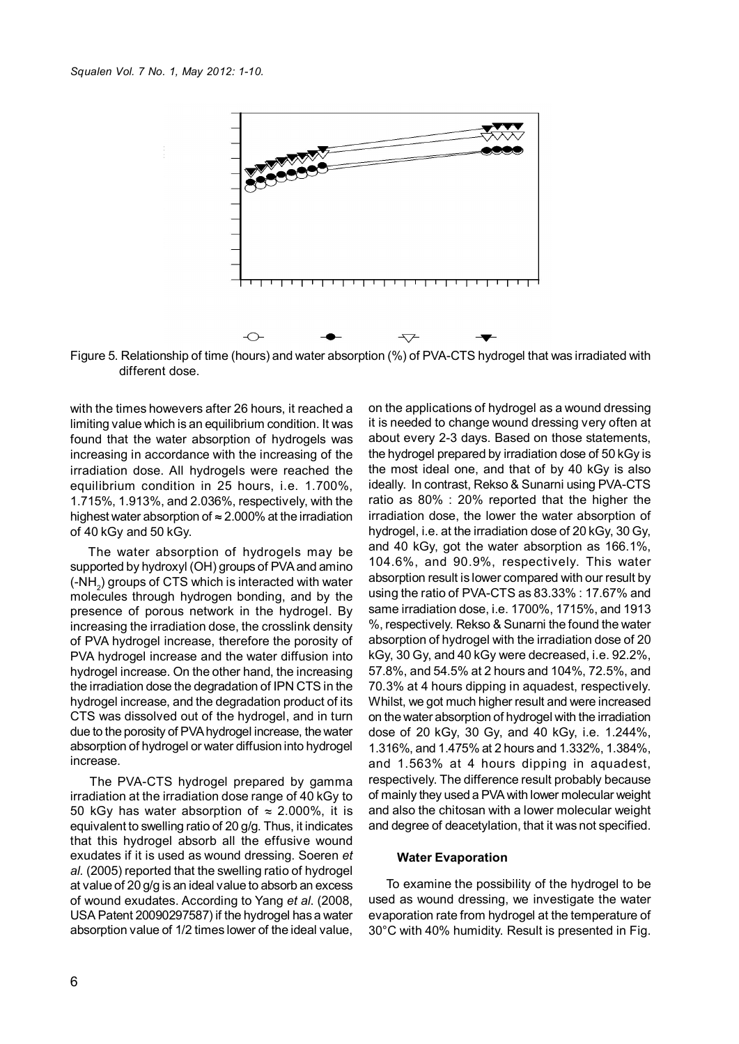$\frac{1}{2}$ 



Figure 5. Relationship of time (hours) and water absorption (%) of PVA-CTS hydrogel that was irradiated with different dose.

highest water absorption of  $\approx$  2.000% at the irradiation with the times howevers after 26 hours, it reached a limiting value which is an equilibrium condition. It was found that the water absorption of hydrogels was increasing in accordance with the increasing of the irradiation dose. All hydrogels were reached the equilibrium condition in 25 hours, i.e. 1.700%, 1.715%, 1.913%, and 2.036%, respectively, with the of 40 kGy and 50 kGy.

The water absorption of hydrogels may be supported by hydroxyl (OH) groups of PVA and amino (-NH<sub>2</sub>) groups of CTS which is interacted with water molecules through hydrogen bonding, and by the presence of porous network in the hydrogel. By increasing the irradiation dose, the crosslink density of PVA hydrogel increase, therefore the porosity of PVA hydrogel increase and the water diffusion into hydrogel increase. On the other hand, the increasing the irradiation dose the degradation of IPN CTS in the hydrogel increase, and the degradation product of its CTS was dissolved out of the hydrogel, and in turn due to the porosity of PVA hydrogel increase, the water absorption of hydrogel or water diffusion into hydrogel increase.

The PVA-CTS hydrogel prepared by gamma irradiation at the irradiation dose range of 40 kGy to 50 kGy has water absorption of  $\approx$  2.000%, it is equivalent to swelling ratio of 20 g/g. Thus, it indicates that this hydrogel absorb all the effusive wound exudates if it is used as wound dressing. Soeren *et al.* (2005) reported that the swelling ratio of hydrogel at value of 20 g/g is an ideal value to absorb an excess of wound exudates. According to Yang *et al*. (2008, USA Patent 20090297587) if the hydrogel has a water absorption value of 1/2 times lower of the ideal value,

on the applications of hydrogel as a wound dressing it is needed to change wound dressing very often at about every 2-3 days. Based on those statements, the hydrogel prepared by irradiation dose of 50 kGy is the most ideal one, and that of by 40 kGy is also ideally. In contrast, Rekso & Sunarni using PVA-CTS ratio as 80% : 20% reported that the higher the irradiation dose, the lower the water absorption of hydrogel, i.e. at the irradiation dose of 20 kGy, 30 Gy, and 40 kGy, got the water absorption as 166.1%, 104.6%, and 90.9%, respectively. This water absorption result is lower compared with our result by using the ratio of PVA-CTS as 83.33% : 17.67% and same irradiation dose, i.e. 1700%, 1715%, and 1913 %, respectively. Rekso & Sunarni the found the water absorption of hydrogel with the irradiation dose of 20 kGy, 30 Gy, and 40 kGy were decreased, i.e. 92.2%, 57.8%, and 54.5% at 2 hours and 104%, 72.5%, and 70.3% at 4 hours dipping in aquadest, respectively. Whilst, we got much higher result and were increased on the water absorption of hydrogel with the irradiation dose of 20 kGy, 30 Gy, and 40 kGy, i.e. 1.244%, 1.316%, and 1.475% at 2 hours and 1.332%, 1.384%, and 1.563% at 4 hours dipping in aquadest, respectively. The difference result probably because of mainly they used a PVA with lower molecular weight and also the chitosan with a lower molecular weight and degree of deacetylation, that it was not specified.

#### Water Evaporation

To examine the possibility of the hydrogel to be used as wound dressing, we investigate the water evaporation rate from hydrogel at the temperature of 30°C with 40% humidity. Result is presented in Fig.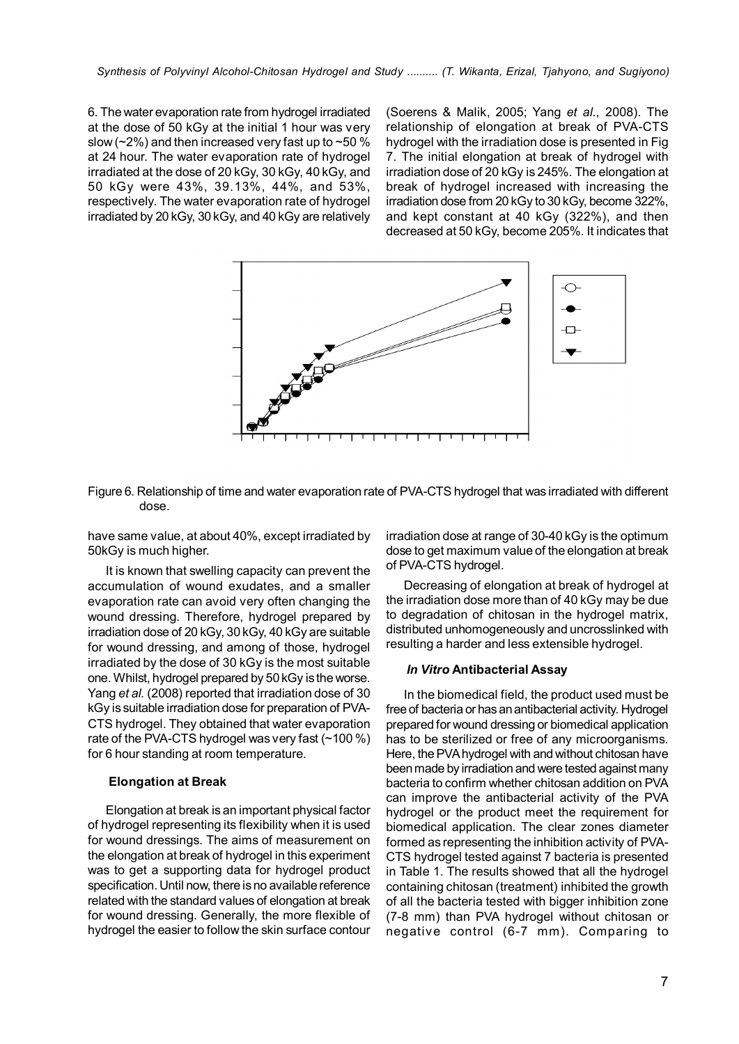6. The water evaporation rate from hydrogel irradiated at the dose of 50 kGy at the initial 1 hour was very slow ( $\sim$ 2%) and then increased very fast up to  $\sim$ 50 % at 24 hour. The water evaporation rate of hydrogel irradiated at the dose of 20 kGy, 30 kGy, 40 kGy, and 50 kGy were 43%, 39.13%, 44%, and 53%, respectively. The water evaporation rate of hydrogel irradiated by 20 kGy, 30 kGy, and 40 kGy are relatively

(Soerens & Malik, 2005; Yang *et al*., 2008). The relationship of elongation at break of PVA-CTS hydrogel with the irradiation dose is presented in Fig 7. The initial elongation at break of hydrogel with irradiation dose of 20 kGy is 245%. The elongation at break of hydrogel increased with increasing the irradiation dose from 20 kGy to 30 kGy, become 322%, and kept constant at 40 kGy (322%), and then decreased at 50 kGy, become 205%. It indicates that



Figure 6. Relationship of time and water evaporation rate of PVA-CTS hydrogel that was irradiated with different dose.

have same value, at about 40%, except irradiated by 50kGy is much higher.

It is known that swelling capacity can prevent the accumulation of wound exudates, and a smaller evaporation rate can avoid very often changing the wound dressing. Therefore, hydrogel prepared by irradiation dose of 20 kGy, 30 kGy, 40 kGy are suitable for wound dressing, and among of those, hydrogel irradiated by the dose of 30 kGy is the most suitable one. Whilst, hydrogel prepared by 50 kGy is the worse. Yang *et al.* (2008) reported that irradiation dose of 30 kGy is suitable irradiation dose for preparation of PVA-CTS hydrogel. They obtained that water evaporation rate of the PVA-CTS hydrogel was very fast (~100 %) for 6 hour standing at room temperature.

### Elongation at Break

Elongation at break is an important physical factor of hydrogel representing its flexibility when it is used for wound dressings. The aims of measurement on the elongation at break of hydrogel in this experiment was to get a supporting data for hydrogel product specification. Until now, there is no available reference related with the standard values of elongation at break for wound dressing. Generally, the more flexible of hydrogel the easier to follow the skin surface contour irradiation dose at range of 30-40 kGy is the optimum dose to get maximum value of the elongation at break of PVA-CTS hydrogel.

Decreasing of elongation at break of hydrogel at the irradiation dose more than of 40 kGy may be due to degradation of chitosan in the hydrogel matrix, distributed unhomogeneously and uncrosslinked with resulting a harder and less extensible hydrogel.

#### *In Vitro* Antibacterial Assay

In the biomedical field, the product used must be free of bacteria or has an antibacterial activity. Hydrogel prepared for wound dressing or biomedical application has to be sterilized or free of any microorganisms. Here, the PVA hydrogel with and without chitosan have been made by irradiation and were tested against many bacteria to confirm whether chitosan addition on PVA can improve the antibacterial activity of the PVA hydrogel or the product meet the requirement for biomedical application. The clear zones diameter formed as representing the inhibition activity of PVA-CTS hydrogel tested against 7 bacteria is presented in Table 1. The results showed that all the hydrogel containing chitosan (treatment) inhibited the growth of all the bacteria tested with bigger inhibition zone (7-8 mm) than PVA hydrogel without chitosan or negative control (6-7 mm). Comparing to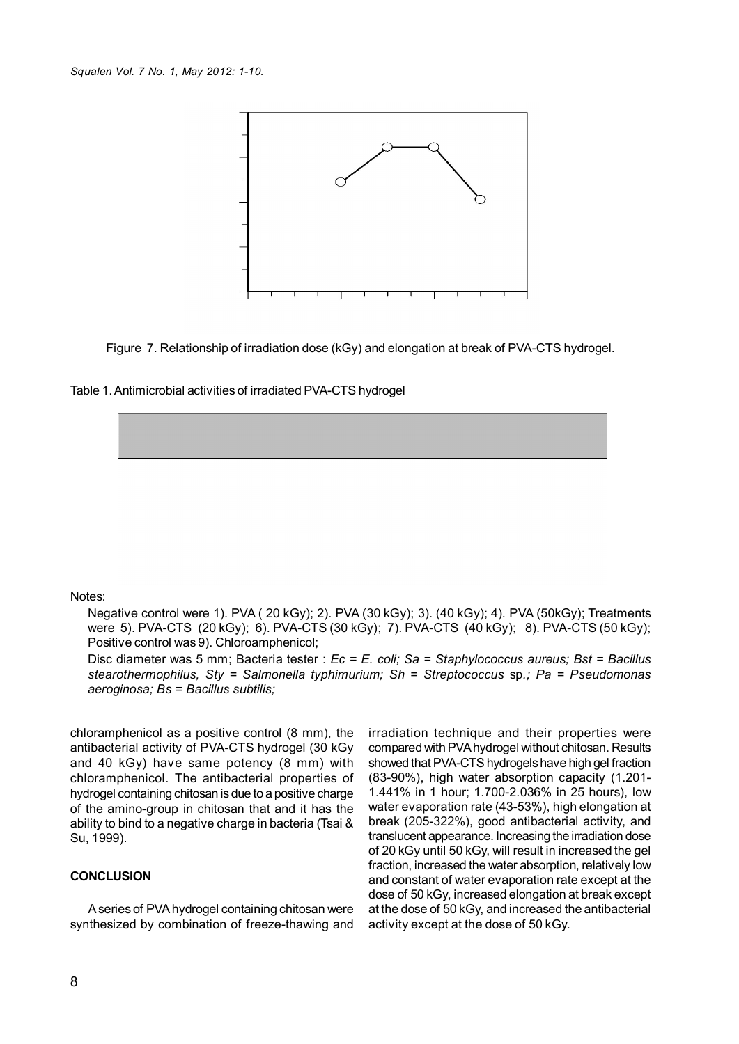

Figure 7. Relationship of irradiation dose (kGy) and elongation at break of PVA-CTS hydrogel.

Table 1. Antimicrobial activities of irradiated PVA-CTS hydrogel

### Notes:

Negative control were 1). PVA ( 20 kGy); 2). PVA (30 kGy); 3). (40 kGy); 4). PVA (50kGy); Treatments were 5). PVA-CTS (20 kGy); 6). PVA-CTS (30 kGy); 7). PVA-CTS (40 kGy); 8). PVA-CTS (50 kGy); Positive control was 9). Chloroamphenicol;

Disc diameter was 5 mm; Bacteria tester : *Ec = E. coli; Sa = Staphylococcus aureus; Bst = Bacillus stearothermophilus, Sty = Salmonella typhimurium; Sh = Streptococcus* sp*.; Pa = Pseudomonas aeroginosa; Bs = Bacillus subtilis;*

chloramphenicol as a positive control (8 mm), the antibacterial activity of PVA-CTS hydrogel (30 kGy and 40 kGy) have same potency (8 mm) with chloramphenicol. The antibacterial properties of hydrogel containing chitosan is due to a positive charge of the amino-group in chitosan that and it has the ability to bind to a negative charge in bacteria (Tsai & Su, 1999).

#### **CONCLUSION**

A series of PVA hydrogel containing chitosan were synthesized by combination of freeze-thawing and

irradiation technique and their properties were compared with PVA hydrogel without chitosan. Results showed that PVA-CTS hydrogels have high gel fraction (83-90%), high water absorption capacity (1.201- 1.441% in 1 hour; 1.700-2.036% in 25 hours), low water evaporation rate (43-53%), high elongation at break (205-322%), good antibacterial activity, and translucent appearance. Increasing the irradiation dose of 20 kGy until 50 kGy, will result in increased the gel fraction, increased the water absorption, relatively low and constant of water evaporation rate except at the dose of 50 kGy, increased elongation at break except at the dose of 50 kGy, and increased the antibacterial activity except at the dose of 50 kGy.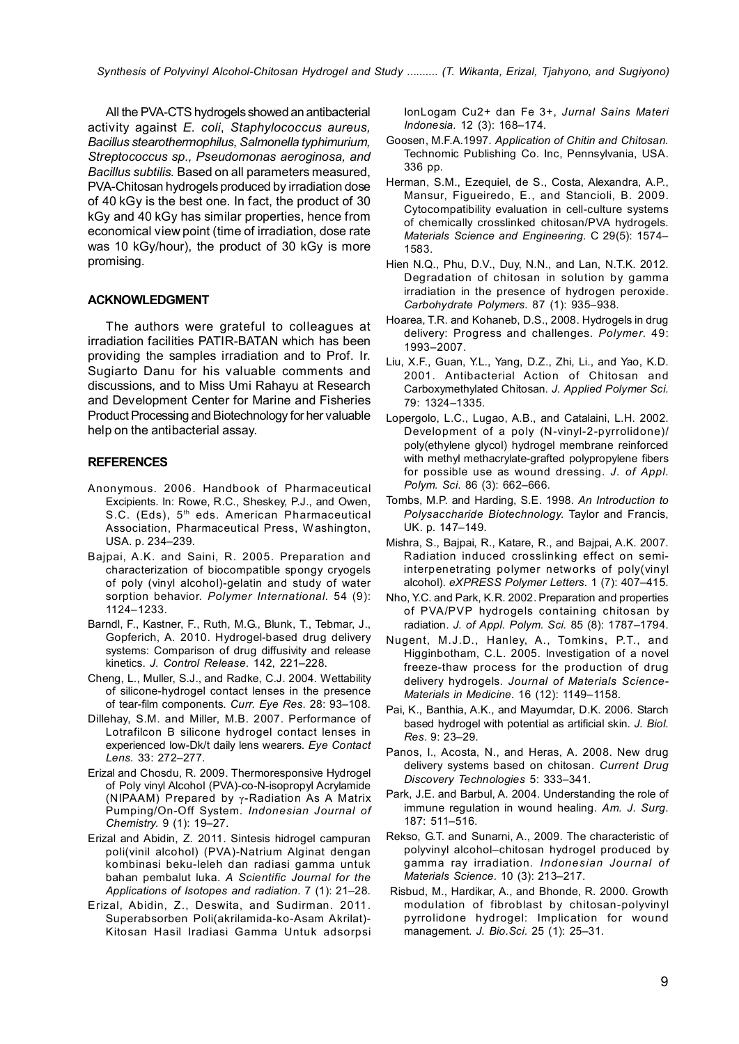*Synthesis of Polyvinyl Alcohol-Chitosan Hydrogel and Study .......... (T. Wikanta, Erizal, Tjahyono, and Sugiyono)*

All the PVA-CTS hydrogels showed an antibacterial activity against *E. coli*, *Staphylococcus aureus, Bacillus stearothermophilus, Salmonella typhimurium, Streptococcus sp., Pseudomonas aeroginosa, and Bacillus subtilis.* Based on all parameters measured, PVA-Chitosan hydrogels produced by irradiation dose of 40 kGy is the best one. In fact, the product of 30 kGy and 40 kGy has similar properties, hence from economical view point (time of irradiation, dose rate was 10 kGy/hour), the product of 30 kGy is more promising.

# ACKNOWLEDGMENT

The authors were grateful to colleagues at irradiation facilities PATIR-BATAN which has been providing the samples irradiation and to Prof. Ir. Sugiarto Danu for his valuable comments and discussions, and to Miss Umi Rahayu at Research and Development Center for Marine and Fisheries Product Processing and Biotechnology for her valuable help on the antibacterial assay.

### **REFERENCES**

- Anonymous. 2006. Handbook of Pharmaceutical Excipients. In: Rowe, R.C., Sheskey, P.J., and Owen, S.C. (Eds), 5<sup>th</sup> eds. American Pharmaceutical Association, Pharmaceutical Press, Washington, USA. p. 234–239.
- Bajpai, A.K. and Saini, R. 2005. Preparation and characterization of biocompatible spongy cryogels of poly (vinyl alcohol)-gelatin and study of water sorption behavior. *Polymer International.* 54 (9): 1124–1233.
- Barndl, F., Kastner, F., Ruth, M.G., Blunk, T., Tebmar, J., Gopferich, A. 2010. Hydrogel-based drug delivery systems: Comparison of drug diffusivity and release kinetics. *J. Control Release*. 142, 221–228.
- Cheng, L., Muller, S.J., and Radke, C.J. 2004. Wettability of silicone-hydrogel contact lenses in the presence of tear-film components. *Curr. Eye Res.* 28: 93–108.
- Dillehay, S.M. and Miller, M.B. 2007. Performance of Lotrafilcon B silicone hydrogel contact lenses in experienced low-Dk/t daily lens wearers. *Eye Contact Lens.* 33: 272–277.
- Erizal and Chosdu, R. 2009. Thermoresponsive Hydrogel of Poly vinyl Alcohol (PVA)-co-N-isopropyl Acrylamide (NIPAAM) Prepared by γ-Radiation As A Matrix Pumping/On-Off System. *Indonesian Journal of Chemistry.* 9 (1): 19–27.
- Erizal and Abidin, Z. 2011. Sintesis hidrogel campuran poli(vinil alcohol) (PVA)-Natrium Alginat dengan kombinasi beku-leleh dan radiasi gamma untuk bahan pembalut luka. *A Scientific Journal for the Applications of Isotopes and radiation.* 7 (1): 21–28.
- Erizal, Abidin, Z., Deswita, and Sudirman. 2011. Superabsorben Poli(akrilamida-ko-Asam Akrilat)- Kitosan Hasil Iradiasi Gamma Untuk adsorpsi

IonLogam Cu2+ dan Fe 3+, *Jurnal Sains Materi Indonesia.* 12 (3): 168–174.

- Goosen, M.F.A.1997. *Application of Chitin and Chitosan.* Technomic Publishing Co. Inc, Pennsylvania, USA. 336 pp.
- Herman, S.M., Ezequiel, de S., Costa, Alexandra, A.P., Mansur, Figueiredo, E., and Stancioli, B. 2009. Cytocompatibility evaluation in cell-culture systems of chemically crosslinked chitosan/PVA hydrogels. *Materials Science and Engineering*. C 29(5): 1574– 1583.
- Hien N.Q., Phu, D.V., Duy, N.N., and Lan, N.T.K. 2012. Degradation of chitosan in solution by gamma irradiation in the presence of hydrogen peroxide. *Carbohydrate Polymers.* 87 (1): 935–938.
- Hoarea, T.R. and Kohaneb, D.S., 2008. Hydrogels in drug delivery: Progress and challenges. *Polymer.* 49: 1993–2007.
- Liu, X.F., Guan, Y.L., Yang, D.Z., Zhi, Li., and Yao, K.D. 2001. Antibacterial Action of Chitosan and Carboxymethylated Chitosan. *J. Applied Polymer Sci.* 79: 1324–1335.
- Lopergolo, L.C., Lugao, A.B., and Catalaini, L.H. 2002. Development of a poly (N-vinyl-2-pyrrolidone)/ poly(ethylene glycol) hydrogel membrane reinforced with methyl methacrylate-grafted polypropylene fibers for possible use as wound dressing. *J. of Appl. Polym. Sci*. 86 (3): 662–666.
- Tombs, M.P. and Harding, S.E. 1998. *An Introduction to Polysaccharide Biotechnology.* Taylor and Francis, UK. p. 147–149.
- Mishra, S., Bajpai, R., Katare, R., and Bajpai, A.K. 2007. Radiation induced crosslinking effect on semiinterpenetrating polymer networks of poly(vinyl alcohol). *eXPRESS Polymer Letters.* 1 (7): 407–415.
- Nho, Y.C. and Park, K.R. 2002. Preparation and properties of PVA/PVP hydrogels containing chitosan by radiation. *J. of Appl. Polym. Sci.* 85 (8): 1787–1794.
- Nugent, M.J.D., Hanley, A., Tomkins, P.T., and Higginbotham, C.L. 2005. Investigation of a novel freeze-thaw process for the production of drug delivery hydrogels. *Journal of Materials Science-Materials in Medicine.* 16 (12): 1149–1158.
- Pai, K., Banthia, A.K., and Mayumdar, D.K. 2006. Starch based hydrogel with potential as artificial skin. *J. Biol. Res.* 9: 23–29.
- Panos, I., Acosta, N., and Heras, A. 2008. New drug delivery systems based on chitosan. *Current Drug Discovery Technologies* 5: 333–341.
- Park, J.E. and Barbul, A. 2004. Understanding the role of immune regulation in wound healing. *Am. J. Surg.* 187: 511–516.
- Rekso, G.T. and Sunarni, A., 2009. The characteristic of polyvinyl alcohol–chitosan hydrogel produced by gamma ray irradiation. *Indonesian Journal of Materials Science.* 10 (3): 213–217.
- Risbud, M., Hardikar, A., and Bhonde, R. 2000. Growth modulation of fibroblast by chitosan-polyvinyl pyrrolidone hydrogel: Implication for wound management. *J. Bio.Sci*. 25 (1): 25–31.